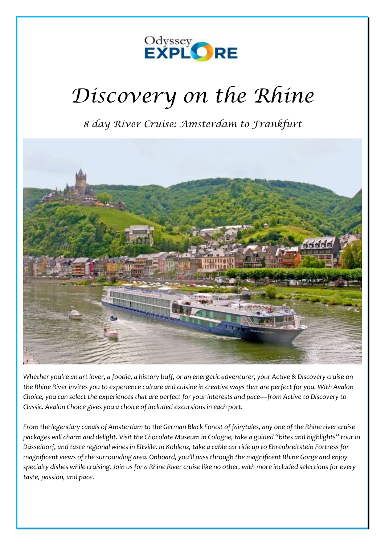

# *Discovery on the Rhine*

*8 day River Cruise: Amsterdam to Frankfurt*



*Whether you're an art lover, a foodie, a history buff, or an energetic adventurer, your Active & Discovery cruise on the Rhine River invites you to experience culture and cuisine in creative ways that are perfect for you. With Avalon Choice, you can select the experiences that are perfect for your interests and pace—from Active to Discovery to Classic. Avalon Choice gives you a choice of included excursions in each port.*

*From the legendary canals of Amsterdam to the German Black Forest of fairytales, any one of the Rhine river cruise packages will charm and delight. Visit the Chocolate Museum in Cologne, take a guided "bites and highlights" tour in Düsseldorf, and taste regional wines in Eltville. In Koblenz, take a cable car ride up to Ehrenbreitstein Fortress for magnificent views of the surrounding area. Onboard, you'll pass through the magnificent Rhine Gorge and enjoy specialty dishes while cruising. Join us for a Rhine River cruise like no other, with more included selections for every taste, passion, and pace.*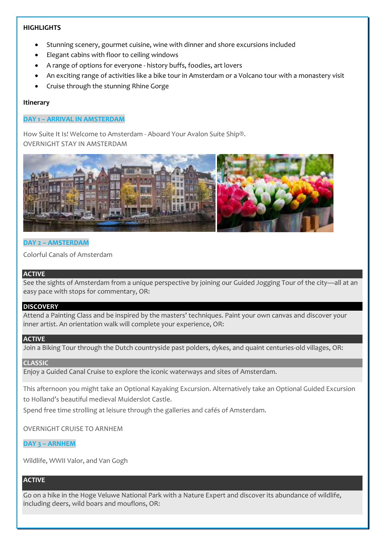# **HIGHLIGHTS**

- Stunning scenery, gourmet cuisine, wine with dinner and shore excursions included
- Elegant cabins with floor to ceiling windows
- A range of options for everyone history buffs, foodies, art lovers
- An exciting range of activities like a bike tour in Amsterdam or a Volcano tour with a monastery visit
- Cruise through the stunning Rhine Gorge

# **Itinerary**

# **DAY 1 – ARRIVAL IN AMSTERDAM**

How Suite It Is! Welcome to Amsterdam - Aboard Your Avalon Suite Ship®. OVERNIGHT STAY IN AMSTERDAM



# **DAY 2 – AMSTERDAM**

Colorful Canals of Amsterdam

# **ACTIVE**

See the sights of Amsterdam from a unique perspective by joining our Guided Jogging Tour of the city—all at an easy pace with stops for commentary, OR:

#### **DISCOVERY**

Attend a Painting Class and be inspired by the masters' techniques. Paint your own canvas and discover your inner artist. An orientation walk will complete your experience, OR:

#### **ACTIVE**

Join a Biking Tour through the Dutch countryside past polders, dykes, and quaint centuries-old villages, OR:

# **CLASSIC**

Enjoy a Guided Canal Cruise to explore the iconic waterways and sites of Amsterdam.

This afternoon you might take an Optional Kayaking Excursion. Alternatively take an Optional Guided Excursion to Holland's beautiful medieval Muiderslot Castle.

Spend free time strolling at leisure through the galleries and cafés of Amsterdam.

OVERNIGHT CRUISE TO ARNHEM

# **DAY 3 – ARNHEM**

Wildlife, WWII Valor, and Van Gogh

# **ACTIVE**

Go on a hike in the Hoge Veluwe National Park with a Nature Expert and discover its abundance of wildlife, including deers, wild boars and mouflons, OR: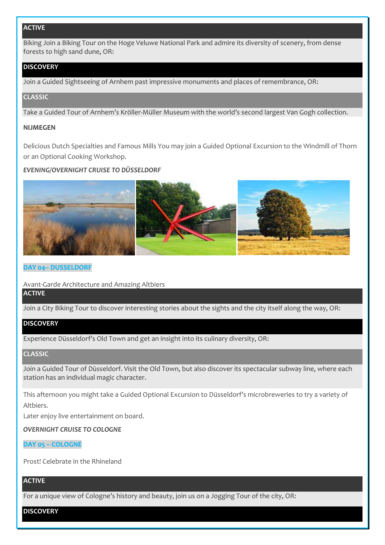# **ACTIVE**

Biking Join a Biking Tour on the Hoge Veluwe National Park and admire its diversity of scenery, from dense forests to high sand dune, OR:

# **DISCOVERY**

Join a Guided Sightseeing of Arnhem past impressive monuments and places of remembrance, OR:

# **CLASSIC**

Take a Guided Tour of Arnhem's Kröller-Müller Museum with the world's second largest Van Gogh collection.

#### **NIJMEGEN**

Delicious Dutch Specialties and Famous Mills You may join a Guided Optional Excursion to the Windmill of Thorn or an Optional Cooking Workshop.

# *EVENING/OVERNIGHT CRUISE TO DÜSSELDORF*



#### **DAY 04– DUSSELDORF**

Avant-Garde Architecture and Amazing Altbiers

# **ACTIVE**

Join a City Biking Tour to discover interesting stories about the sights and the city itself along the way, OR:

# **DISCOVERY**

Experience Düsseldorf's Old Town and get an insight into its culinary diversity, OR:

# **CLASSIC**

Join a Guided Tour of Düsseldorf. Visit the Old Town, but also discover its spectacular subway line, where each station has an individual magic character.

This afternoon you might take a Guided Optional Excursion to Düsseldorf's microbreweries to try a variety of Altbiers.

Later enjoy live entertainment on board.

# *OVERNIGHT CRUISE TO COLOGNE*

# **DAY 05 – COLOGNE**

Prost! Celebrate in the Rhineland

# **ACTIVE**

For a unique view of Cologne's history and beauty, join us on a Jogging Tour of the city, OR:

# **DISCOVERY**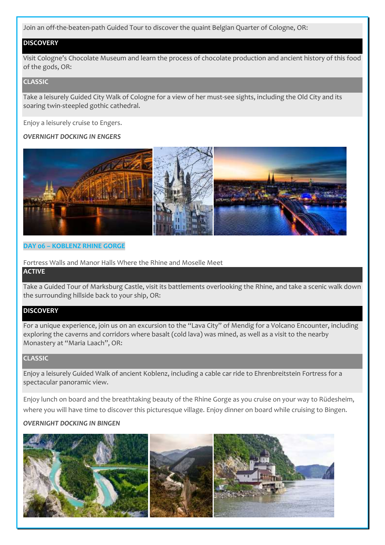Join an off-the-beaten-path Guided Tour to discover the quaint Belgian Quarter of Cologne, OR:

# **DISCOVERY**

Visit Cologne's Chocolate Museum and learn the process of chocolate production and ancient history of this food of the gods, OR:

#### **CLASSIC**

Take a leisurely Guided City Walk of Cologne for a view of her must-see sights, including the Old City and its soaring twin-steepled gothic cathedral.

Enjoy a leisurely cruise to Engers.

#### *OVERNIGHT DOCKING IN ENGERS*



#### **DAY 06 – KOBLENZ RHINE GORGE**

Fortress Walls and Manor Halls Where the Rhine and Moselle Meet

#### **ACTIVE**

Take a Guided Tour of Marksburg Castle, visit its battlements overlooking the Rhine, and take a scenic walk down the surrounding hillside back to your ship, OR:

## **DISCOVERY**

For a unique experience, join us on an excursion to the "Lava City" of Mendig for a Volcano Encounter, including exploring the caverns and corridors where basalt (cold lava) was mined, as well as a visit to the nearby Monastery at "Maria Laach", OR:

#### **CLASSIC**

Enjoy a leisurely Guided Walk of ancient Koblenz, including a cable car ride to Ehrenbreitstein Fortress for a spectacular panoramic view.

Enjoy lunch on board and the breathtaking beauty of the Rhine Gorge as you cruise on your way to Rüdesheim, where you will have time to discover this picturesque village. Enjoy dinner on board while cruising to Bingen.

# *OVERNIGHT DOCKING IN BINGEN*

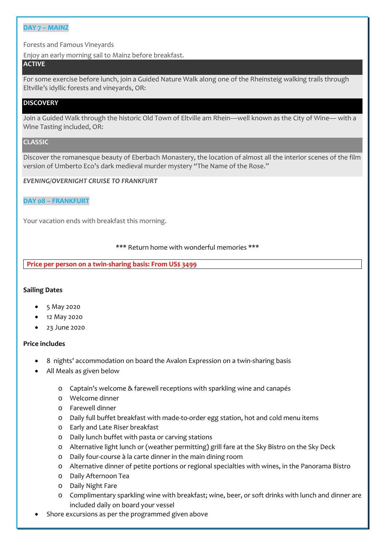#### **DAY 7 – MAINZ**

Forests and Famous Vineyards

Enjoy an early morning sail to Mainz before breakfast.

# **ACTIVE**

For some exercise before lunch, join a Guided Nature Walk along one of the Rheinsteig walking trails through Eltville's idyllic forests and vineyards, OR:

# **DISCOVERY**

Join a Guided Walk through the historic Old Town of Eltville am Rhein—well known as the City of Wine— with a Wine Tasting included, OR:

#### **CLASSIC**

Discover the romanesque beauty of Eberbach Monastery, the location of almost all the interior scenes of the film version of Umberto Eco's dark medieval murder mystery "The Name of the Rose."

#### *EVENING/OVERNIGHT CRUISE TO FRANKFURT*

#### **DAY 08 – FRANKFURT**

Your vacation ends with breakfast this morning.

#### \*\*\* Return home with wonderful memories \*\*\*

**Price per person on a twin-sharing basis: From US\$ 3499** 

#### **Sailing Dates**

- 5 May 2020
- 12 May 2020
- 23 June 2020

#### **Price includes**

- 8 nights' accommodation on board the Avalon Expression on a twin-sharing basis
- All Meals as given below
	- o Captain's welcome & farewell receptions with sparkling wine and canapés
	- o Welcome dinner
	- o Farewell dinner
	- o Daily full buffet breakfast with made-to-order egg station, hot and cold menu items
	- o Early and Late Riser breakfast
	- o Daily lunch buffet with pasta or carving stations
	- o Alternative light lunch or (weather permitting) grill fare at the Sky Bistro on the Sky Deck
	- o Daily four-course à la carte dinner in the main dining room
	- o Alternative dinner of petite portions or regional specialties with wines, in the Panorama Bistro
	- o Daily Afternoon Tea
	- o Daily Night Fare
	- o Complimentary sparkling wine with breakfast; wine, beer, or soft drinks with lunch and dinner are included daily on board your vessel
- Shore excursions as per the programmed given above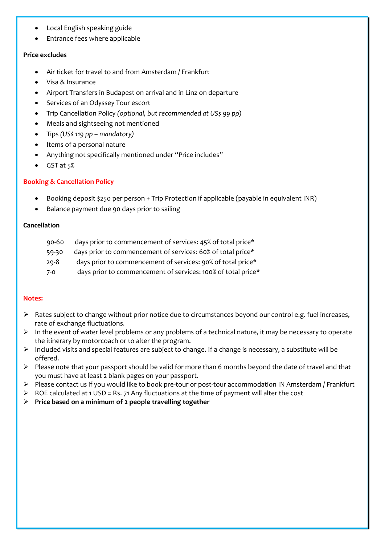- Local English speaking guide
- Entrance fees where applicable

# **Price excludes**

- Air ticket for travel to and from Amsterdam / Frankfurt
- Visa & Insurance
- Airport Transfers in Budapest on arrival and in Linz on departure
- Services of an Odyssey Tour escort
- Trip Cancellation Policy *(optional, but recommended at US\$ 99 pp)*
- Meals and sightseeing not mentioned
- Tips *(US\$ 119 pp – mandatory)*
- Items of a personal nature
- Anything not specifically mentioned under "Price includes"
- GST at 5%

# **Booking & Cancellation Policy**

- Booking deposit \$250 per person + Trip Protection if applicable (payable in equivalent INR)
- Balance payment due 90 days prior to sailing

# **Cancellation**

- 90-60 days prior to commencement of services: 45% of total price\*
- 59-30 days prior to commencement of services: 60% of total price\*
- 29-8 days prior to commencement of services: 90% of total price\*
- 7-0 days prior to commencement of services: 100% of total price\*

# **Notes:**

- ➢ Rates subject to change without prior notice due to circumstances beyond our control e.g. fuel increases, rate of exchange fluctuations.
- $\triangleright$  In the event of water level problems or any problems of a technical nature, it may be necessary to operate the itinerary by motorcoach or to alter the program.
- ➢ Included visits and special features are subject to change. If a change is necessary, a substitute will be offered.
- ➢ Please note that your passport should be valid for more than 6 months beyond the date of travel and that you must have at least 2 blank pages on your passport.
- ➢ Please contact us if you would like to book pre-tour or post-tour accommodation IN Amsterdam / Frankfurt
- $\triangleright$  ROE calculated at 1 USD = Rs. 71 Any fluctuations at the time of payment will alter the cost
- ➢ **Price based on a minimum of 2 people travelling together**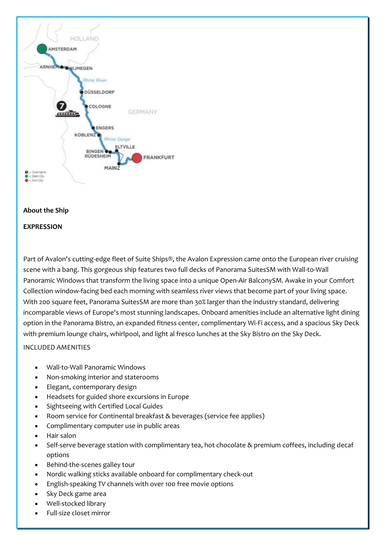

#### **About the Ship**

#### **EXPRESSION**

Part of Avalon's cutting-edge fleet of Suite Ships®, the Avalon Expression came onto the European river cruising scene with a bang. This gorgeous ship features two full decks of Panorama SuitesSM with Wall-to-Wall Panoramic Windows that transform the living space into a unique Open-Air BalconySM. Awake in your Comfort Collection window-facing bed each morning with seamless river views that become part of your living space. With 200 square feet, Panorama SuitesSM are more than 30% larger than the industry standard, delivering incomparable views of Europe's most stunning landscapes. Onboard amenities include an alternative light dining option in the Panorama Bistro, an expanded fitness center, complimentary Wi-Fi access, and a spacious Sky Deck with premium lounge chairs, whirlpool, and light al fresco lunches at the Sky Bistro on the Sky Deck.

# INCLUDED AMENITIES

- Wall-to-Wall Panoramic Windows
- Non-smoking interior and staterooms
- Elegant, contemporary design
- Headsets for guided shore excursions in Europe
- Sightseeing with Certified Local Guides
- Room service for Continental breakfast & beverages (service fee applies)
- Complimentary computer use in public areas
- Hair salon
- Self-serve beverage station with complimentary tea, hot chocolate & premium coffees, including decaf options
- Behind-the-scenes galley tour
- Nordic walking sticks available onboard for complimentary check-out
- English-speaking TV channels with over 100 free movie options
- Sky Deck game area
- Well-stocked library
- Full-size closet mirror